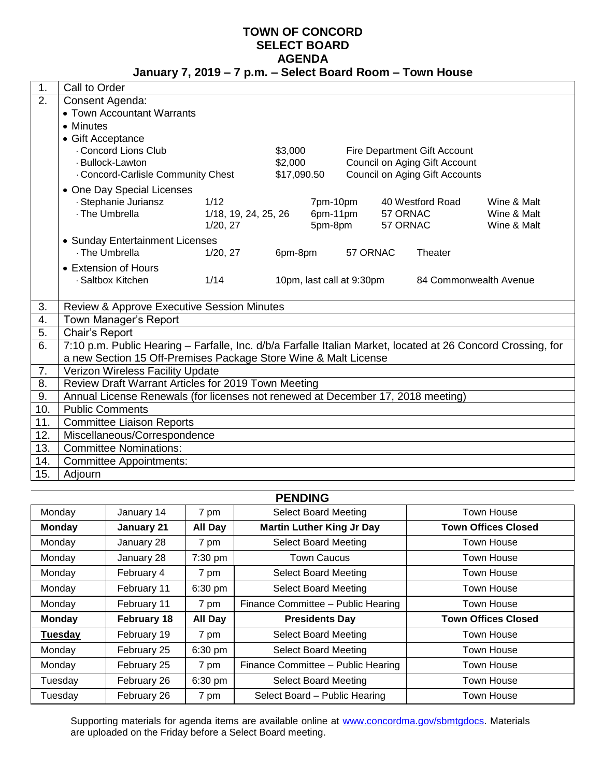#### **TOWN OF CONCORD SELECT BOARD AGENDA January 7, 2019 – 7 p.m. – Select Board Room – Town House**

| 1.  | Call to Order                                                                                                |                                  |         |                                          |          |                      |                                     |                            |
|-----|--------------------------------------------------------------------------------------------------------------|----------------------------------|---------|------------------------------------------|----------|----------------------|-------------------------------------|----------------------------|
| 2.  | Consent Agenda:                                                                                              |                                  |         |                                          |          |                      |                                     |                            |
|     | • Town Accountant Warrants                                                                                   |                                  |         |                                          |          |                      |                                     |                            |
|     | • Minutes                                                                                                    |                                  |         |                                          |          |                      |                                     |                            |
|     | • Gift Acceptance                                                                                            |                                  |         |                                          |          |                      |                                     |                            |
|     | Concord Lions Club                                                                                           |                                  | \$3,000 |                                          |          |                      | <b>Fire Department Gift Account</b> |                            |
|     | · Bullock-Lawton                                                                                             |                                  |         | \$2,000<br>Council on Aging Gift Account |          |                      |                                     |                            |
|     | \$17,090.50<br><b>Council on Aging Gift Accounts</b><br>. Concord-Carlisle Community Chest                   |                                  |         |                                          |          |                      |                                     |                            |
|     | • One Day Special Licenses                                                                                   |                                  |         |                                          |          |                      |                                     |                            |
|     | · Stephanie Juriansz<br>1/12                                                                                 |                                  |         | 7pm-10pm                                 |          |                      | 40 Westford Road                    | Wine & Malt                |
|     | · The Umbrella                                                                                               | 1/18, 19, 24, 25, 26<br>1/20, 27 |         | 6pm-11pm<br>5pm-8pm                      |          | 57 ORNAC<br>57 ORNAC |                                     | Wine & Malt<br>Wine & Malt |
|     |                                                                                                              |                                  |         |                                          |          |                      |                                     |                            |
|     | • Sunday Entertainment Licenses<br>· The Umbrella                                                            | 1/20, 27                         | 6pm-8pm |                                          | 57 ORNAC |                      | Theater                             |                            |
|     |                                                                                                              |                                  |         |                                          |          |                      |                                     |                            |
|     | • Extension of Hours                                                                                         |                                  |         |                                          |          |                      |                                     |                            |
|     | · Saltbox Kitchen<br>1/14<br>10pm, last call at 9:30pm<br>84 Commonwealth Avenue                             |                                  |         |                                          |          |                      |                                     |                            |
| 3.  | Review & Approve Executive Session Minutes                                                                   |                                  |         |                                          |          |                      |                                     |                            |
| 4.  | Town Manager's Report                                                                                        |                                  |         |                                          |          |                      |                                     |                            |
| 5.  | Chair's Report                                                                                               |                                  |         |                                          |          |                      |                                     |                            |
| 6.  | 7:10 p.m. Public Hearing - Farfalle, Inc. d/b/a Farfalle Italian Market, located at 26 Concord Crossing, for |                                  |         |                                          |          |                      |                                     |                            |
|     | a new Section 15 Off-Premises Package Store Wine & Malt License                                              |                                  |         |                                          |          |                      |                                     |                            |
| 7.  | Verizon Wireless Facility Update                                                                             |                                  |         |                                          |          |                      |                                     |                            |
| 8.  | Review Draft Warrant Articles for 2019 Town Meeting                                                          |                                  |         |                                          |          |                      |                                     |                            |
| 9.  | Annual License Renewals (for licenses not renewed at December 17, 2018 meeting)                              |                                  |         |                                          |          |                      |                                     |                            |
| 10. | <b>Public Comments</b>                                                                                       |                                  |         |                                          |          |                      |                                     |                            |
| 11. | <b>Committee Liaison Reports</b>                                                                             |                                  |         |                                          |          |                      |                                     |                            |
| 12. | Miscellaneous/Correspondence                                                                                 |                                  |         |                                          |          |                      |                                     |                            |
| 13. | <b>Committee Nominations:</b>                                                                                |                                  |         |                                          |          |                      |                                     |                            |
| 14. | <b>Committee Appointments:</b>                                                                               |                                  |         |                                          |          |                      |                                     |                            |
| 15. | Adjourn                                                                                                      |                                  |         |                                          |          |                      |                                     |                            |

| <b>PENDING</b>       |             |                |                                    |                            |  |  |
|----------------------|-------------|----------------|------------------------------------|----------------------------|--|--|
| Monday<br>January 14 |             | 7 pm           | <b>Select Board Meeting</b>        | Town House                 |  |  |
| <b>Monday</b>        | January 21  | <b>All Day</b> | <b>Martin Luther King Jr Day</b>   | <b>Town Offices Closed</b> |  |  |
| Monday               | January 28  | 7 pm           | <b>Select Board Meeting</b>        | Town House                 |  |  |
| Monday               | January 28  | 7:30 pm        | <b>Town Caucus</b>                 | Town House                 |  |  |
| Monday               | February 4  | 7 pm           | <b>Select Board Meeting</b>        | Town House                 |  |  |
| Monday               | February 11 | 6:30 pm        | <b>Select Board Meeting</b>        | Town House                 |  |  |
| Monday               | February 11 | 7 pm           | Finance Committee - Public Hearing | Town House                 |  |  |
| <b>Monday</b>        | February 18 | <b>All Day</b> | <b>Presidents Day</b>              | <b>Town Offices Closed</b> |  |  |
| <b>Tuesday</b>       | February 19 | 7 pm           | <b>Select Board Meeting</b>        | Town House                 |  |  |
| Monday               | February 25 | $6:30$ pm      | <b>Select Board Meeting</b>        | Town House                 |  |  |
| Monday               | February 25 | 7 pm           | Finance Committee - Public Hearing | Town House                 |  |  |
| Tuesday              | February 26 | $6:30$ pm      | <b>Select Board Meeting</b>        | Town House                 |  |  |
| Tuesday              | February 26 | 7 pm           | Select Board - Public Hearing      | <b>Town House</b>          |  |  |

Supporting materials for agenda items are available online at [www.concordma.gov/sbmtgdocs.](http://www.concordma.gov/sbmtgdocs) Materials are uploaded on the Friday before a Select Board meeting.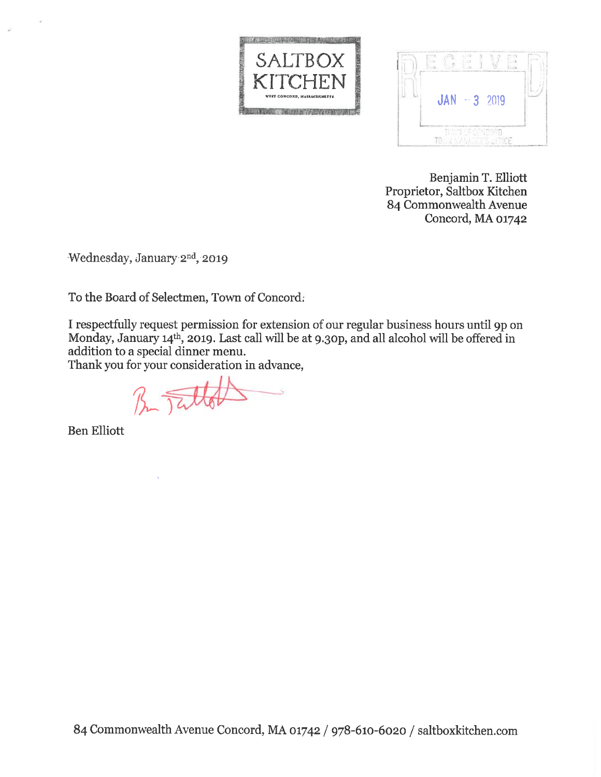



Benjamin T. Elliott Proprietor, Saltbox Kitchen 84 Commonwealth Avenue Concord, MA 01742

Wednesday, January 2nd, 2019

To the Board of Selectmen, Town of Concord:

I respectfully request permission for extension of our regular business hours until 9p on Monday, January 14th, 2019. Last call will be at 9.30p, and all alcohol will be offered in addition to a special dinner menu.

Thank you for your consideration in advance,

B Tallot

**Ben Elliott**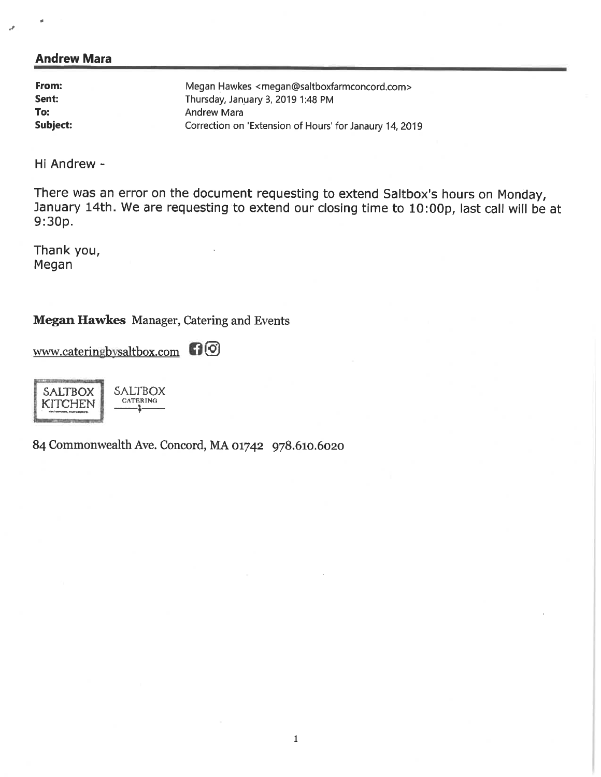## **Andrew Mara**

| From:    | Megan Hawkes <megan@saltboxfarmconcord.com></megan@saltboxfarmconcord.com> |
|----------|----------------------------------------------------------------------------|
| Sent:    | Thursday, January 3, 2019 1:48 PM                                          |
| To:      | Andrew Mara                                                                |
| Subject: | Correction on 'Extension of Hours' for Janaury 14, 2019                    |

Hi Andrew -

There was an error on the document requesting to extend Saltbox's hours on Monday, January 14th. We are requesting to extend our closing time to 10:00p, last call will be at  $9:30p.$ 

Thank you, Megan

**Megan Hawkes** Manager, Catering and Events

www.cateringbysaltbox.com 10

**SALTBOX SALTBOX CATERING KITCHEN** 

84 Commonwealth Ave. Concord, MA 01742 978.610.6020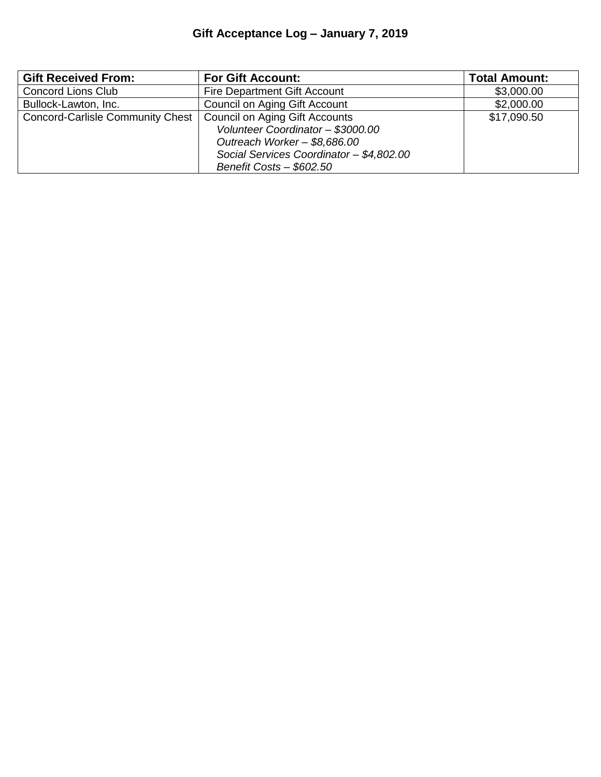| <b>Gift Received From:</b>              | <b>For Gift Account:</b>                 | <b>Total Amount:</b> |  |  |
|-----------------------------------------|------------------------------------------|----------------------|--|--|
| <b>Concord Lions Club</b>               | <b>Fire Department Gift Account</b>      |                      |  |  |
| Bullock-Lawton, Inc.                    | Council on Aging Gift Account            | \$2,000.00           |  |  |
| <b>Concord-Carlisle Community Chest</b> | Council on Aging Gift Accounts           | \$17,090.50          |  |  |
|                                         | Volunteer Coordinator - \$3000.00        |                      |  |  |
|                                         | Outreach Worker - \$8,686.00             |                      |  |  |
|                                         | Social Services Coordinator - \$4,802.00 |                      |  |  |
|                                         | Benefit Costs - \$602.50                 |                      |  |  |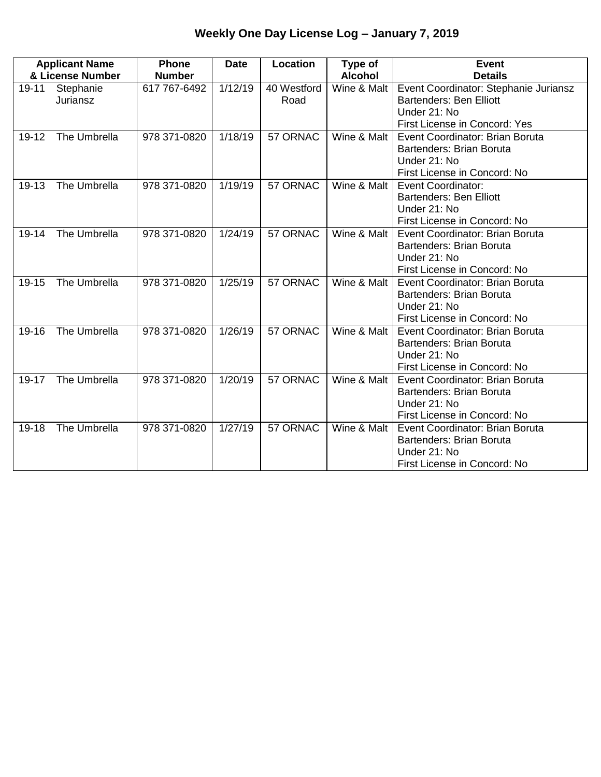# **Weekly One Day License Log – January 7, 2019**

| <b>Applicant Name</b> |                       | <b>Phone</b>  | <b>Date</b> | Location            | Type of        | <b>Event</b>                                                                                                             |
|-----------------------|-----------------------|---------------|-------------|---------------------|----------------|--------------------------------------------------------------------------------------------------------------------------|
| & License Number      |                       | <b>Number</b> |             |                     | <b>Alcohol</b> | <b>Details</b>                                                                                                           |
| 19-11                 | Stephanie<br>Juriansz | 617 767-6492  | 1/12/19     | 40 Westford<br>Road | Wine & Malt    | Event Coordinator: Stephanie Juriansz<br>Bartenders: Ben Elliott<br>Under 21: No<br><b>First License in Concord: Yes</b> |
| 19-12                 | The Umbrella          | 978 371-0820  | 1/18/19     | 57 ORNAC            | Wine & Malt    | Event Coordinator: Brian Boruta<br>Bartenders: Brian Boruta<br>Under 21: No<br>First License in Concord: No              |
| 19-13                 | The Umbrella          | 978 371-0820  | 1/19/19     | 57 ORNAC            | Wine & Malt    | <b>Event Coordinator:</b><br><b>Bartenders: Ben Elliott</b><br>Under 21: No<br>First License in Concord: No              |
| 19-14                 | The Umbrella          | 978 371-0820  | 1/24/19     | 57 ORNAC            | Wine & Malt    | Event Coordinator: Brian Boruta<br>Bartenders: Brian Boruta<br>Under 21: No<br>First License in Concord: No              |
| 19-15                 | The Umbrella          | 978 371-0820  | 1/25/19     | 57 ORNAC            | Wine & Malt    | Event Coordinator: Brian Boruta<br>Bartenders: Brian Boruta<br>Under 21: No<br>First License in Concord: No              |
| 19-16                 | The Umbrella          | 978 371-0820  | 1/26/19     | 57 ORNAC            | Wine & Malt    | Event Coordinator: Brian Boruta<br>Bartenders: Brian Boruta<br>Under 21: No<br>First License in Concord: No              |
| 19-17                 | The Umbrella          | 978 371-0820  | 1/20/19     | 57 ORNAC            | Wine & Malt    | Event Coordinator: Brian Boruta<br>Bartenders: Brian Boruta<br>Under 21: No<br>First License in Concord: No              |
| 19-18                 | The Umbrella          | 978 371-0820  | 1/27/19     | 57 ORNAC            | Wine & Malt    | Event Coordinator: Brian Boruta<br>Bartenders: Brian Boruta<br>Under 21: No<br>First License in Concord: No              |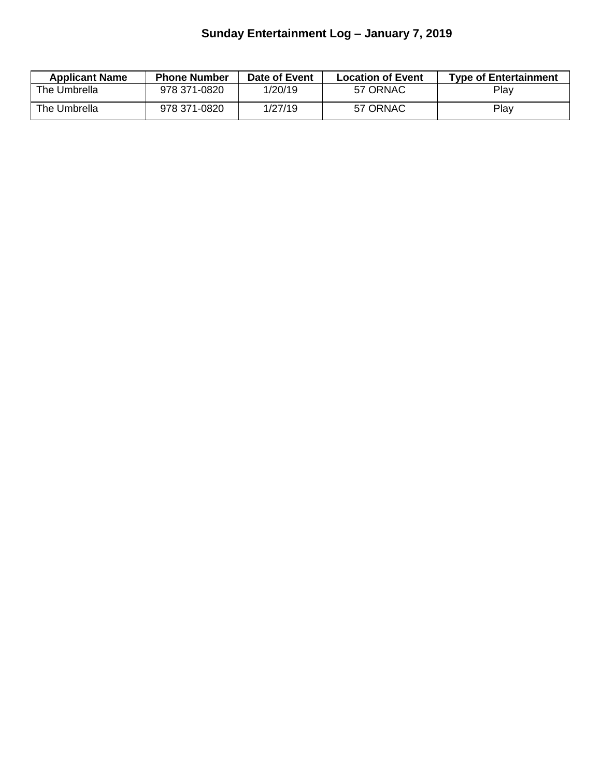# **Sunday Entertainment Log – January 7, 2019**

| <b>Applicant Name</b> | <b>Phone Number</b> | Date of Event | <b>Location of Event</b> | <b>Type of Entertainment</b> |
|-----------------------|---------------------|---------------|--------------------------|------------------------------|
| The Umbrella          | 978 371-0820        | 1/20/19       | 57 ORNAC                 | Play                         |
| The Umbrella          | 978 371-0820        | 1/27/19       | 57 ORNAC                 | Play                         |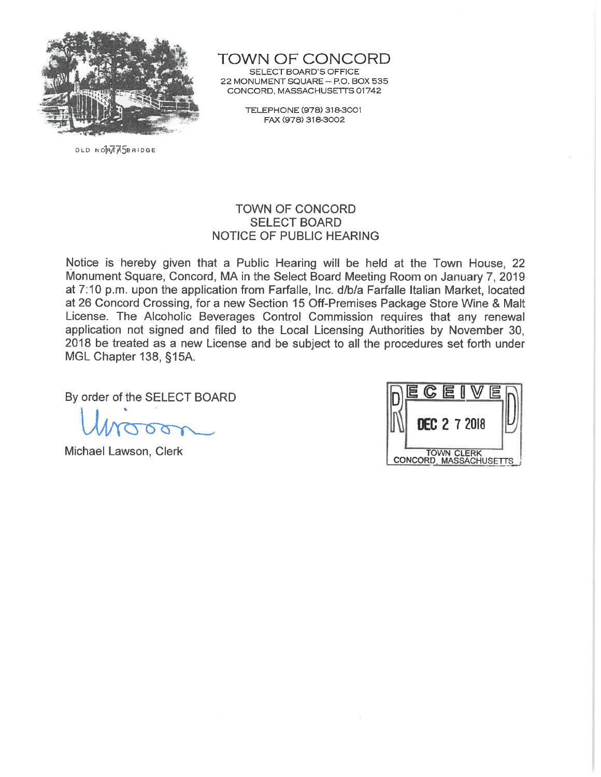

OLD NORTHSBRIDGE

TOWN OF CONCORD

SELECT BOARD'S OFFICE 22 MONUMENT SQUARE - P.O. BOX 535 CONCORD, MASSACHUSETTS 01742

> TELEPHONE (978) 318-3001 FAX (978) 318-3002

#### **TOWN OF CONCORD SELECT BOARD NOTICE OF PUBLIC HEARING**

Notice is hereby given that a Public Hearing will be held at the Town House, 22 Monument Square, Concord, MA in the Select Board Meeting Room on January 7, 2019 at 7:10 p.m. upon the application from Farfalle, Inc. d/b/a Farfalle Italian Market, located at 26 Concord Crossing, for a new Section 15 Off-Premises Package Store Wine & Malt License. The Alcoholic Beverages Control Commission requires that any renewal application not signed and filed to the Local Licensing Authorities by November 30, 2018 be treated as a new License and be subject to all the procedures set forth under MGL Chapter 138, §15A.

By order of the SELECT BOARD

Michael Lawson, Clerk

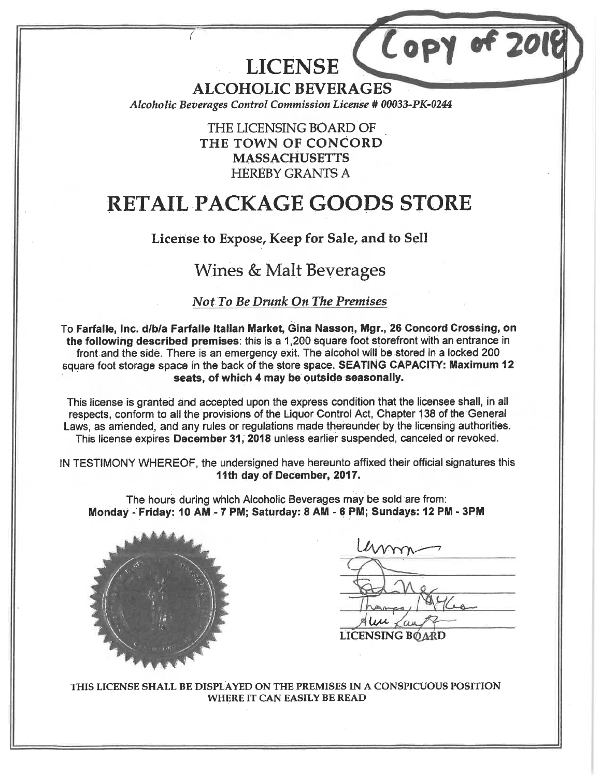**LICENSE** 

**ALCOHOLIC BEVERAGES** 

Alcoholic Beverages Control Commission License # 00033-PK-0244

THE LICENSING BOARD OF THE TOWN OF CONCORD **MASSACHUSETTS HEREBY GRANTS A** 

# **RETAIL PACKAGE GOODS STORE**

## License to Expose, Keep for Sale, and to Sell

## Wines & Malt Beverages

#### **Not To Be Drunk On The Premises**

To Farfalle, Inc. d/b/a Farfalle Italian Market, Gina Nasson, Mgr., 26 Concord Crossing, on the following described premises: this is a 1,200 square foot storefront with an entrance in front and the side. There is an emergency exit. The alcohol will be stored in a locked 200 square foot storage space in the back of the store space. SEATING CAPACITY: Maximum 12 seats, of which 4 may be outside seasonally.

This license is granted and accepted upon the express condition that the licensee shall, in all respects, conform to all the provisions of the Liquor Control Act, Chapter 138 of the General Laws, as amended, and any rules or regulations made thereunder by the licensing authorities. This license expires December 31, 2018 unless earlier suspended, canceled or revoked.

IN TESTIMONY WHEREOF, the undersigned have hereunto affixed their official signatures this 11th day of December, 2017.

The hours during which Alcoholic Beverages may be sold are from: Monday - Friday: 10 AM - 7 PM; Saturday: 8 AM - 6 PM; Sundays: 12 PM - 3PM



hom **LICENSING BOARD** 

LOPY

THIS LICENSE SHALL BE DISPLAYED ON THE PREMISES IN A CONSPICUOUS POSITION **WHERE IT CAN EASILY BE READ**